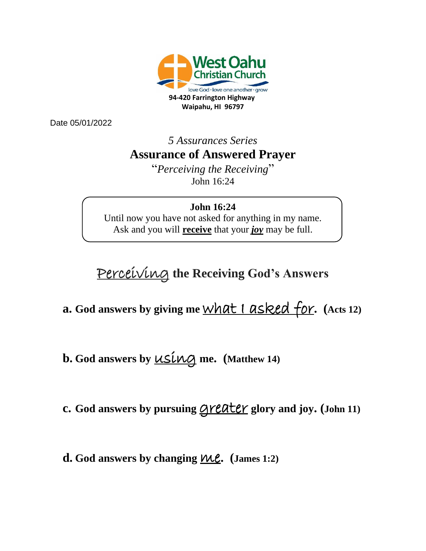

Date 05/01/2022

*5 Assurances Series* **Assurance of Answered Prayer**

> "*Perceiving the Receiving*" John 16:24

#### **John 16:24**

Until now you have not asked for anything in my name. Ask and you will **receive** that your *joy* may be full.

# Perceiving **the Receiving God's Answers**

**a. God answers by giving me** what I asked for**. (Acts 12)**

**b.** God answers by  $\underline{\mathsf{USL}}\mathsf{MQ}$  me. (Matthew 14)

**c.** God answers by pursuing **greater** glory and joy. (John 11)

**d.** God answers by changing  $\mathcal{W}\mathcal{L}$ . (James 1:2)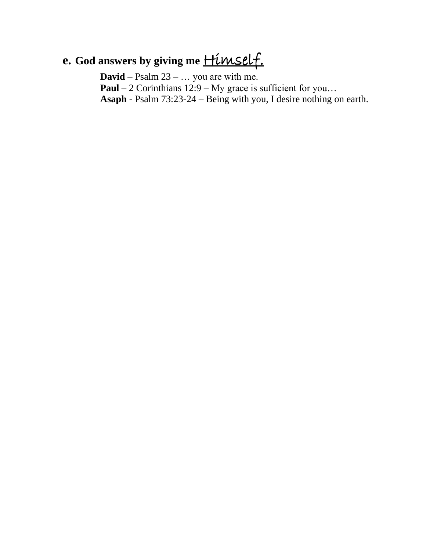# **e.** God answers by giving me **Himself.**

**David** – Psalm 23 – … you are with me. **Paul** – 2 Corinthians 12:9 – My grace is sufficient for you... **Asaph** - Psalm 73:23-24 – Being with you, I desire nothing on earth.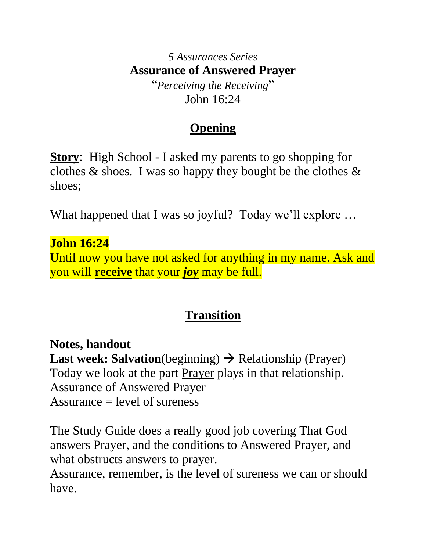#### *5 Assurances Series* **Assurance of Answered Prayer** "*Perceiving the Receiving*"

John 16:24

# **Opening**

**Story**: High School - I asked my parents to go shopping for clothes  $\&$  shoes. I was so happy they bought be the clothes  $\&$ shoes;

What happened that I was so joyful? Today we'll explore …

#### **John 16:24**

Until now you have not asked for anything in my name. Ask and you will **receive** that your *joy* may be full.

### **Transition**

#### **Notes, handout**

**Last week: Salvation**(beginning) → Relationship (Prayer) Today we look at the part **Prayer** plays in that relationship. Assurance of Answered Prayer Assurance  $=$  level of sureness

The Study Guide does a really good job covering That God answers Prayer, and the conditions to Answered Prayer, and what obstructs answers to prayer.

Assurance, remember, is the level of sureness we can or should have.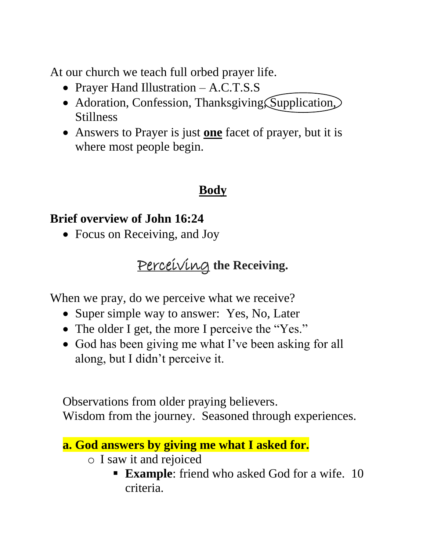At our church we teach full orbed prayer life.

- Prayer Hand Illustration A.C.T.S.S
- Adoration, Confession, Thanksgiving, Supplication, Stillness
- Answers to Prayer is just **one** facet of prayer, but it is where most people begin.

### **Body**

#### **Brief overview of John 16:24**

• Focus on Receiving, and Joy

# Perceiving **the Receiving.**

When we pray, do we perceive what we receive?

- Super simple way to answer: Yes, No, Later
- The older I get, the more I perceive the "Yes."
- God has been giving me what I've been asking for all along, but I didn't perceive it.

Observations from older praying believers. Wisdom from the journey. Seasoned through experiences.

```
a. God answers by giving me what I asked for. 
o I saw it and rejoiced
```
**Example:** friend who asked God for a wife. 10 criteria.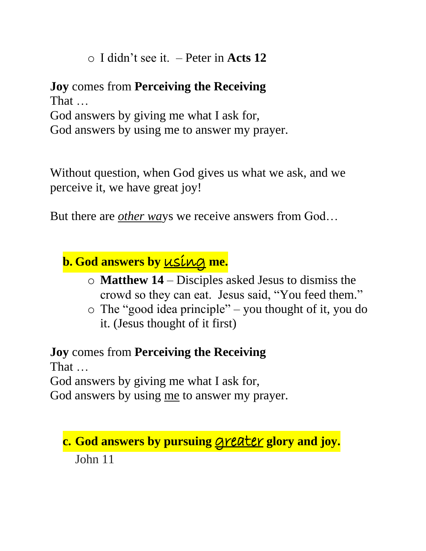o I didn't see it. – Peter in **Acts 12**

**Joy** comes from **Perceiving the Receiving** That … God answers by giving me what I ask for, God answers by using me to answer my prayer.

Without question, when God gives us what we ask, and we perceive it, we have great joy!

But there are *other wa*ys we receive answers from God…

**b.** God answers by **using** me.

- o **Matthew 14**  Disciples asked Jesus to dismiss the crowd so they can eat. Jesus said, "You feed them."
- o The "good idea principle" you thought of it, you do it. (Jesus thought of it first)

**Joy** comes from **Perceiving the Receiving** That … God answers by giving me what I ask for,

God answers by using me to answer my prayer.

# **c.** God answers by pursuing **greater** glory and joy. John 11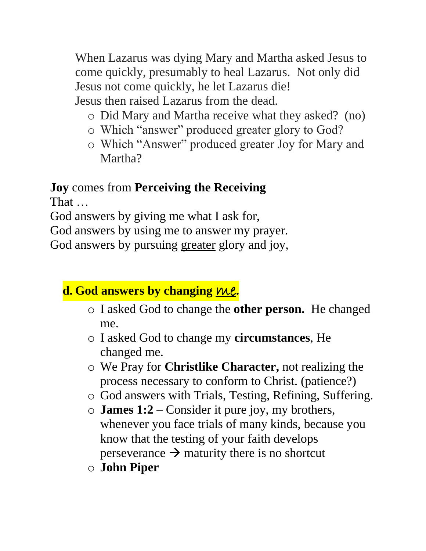When Lazarus was dying Mary and Martha asked Jesus to come quickly, presumably to heal Lazarus. Not only did Jesus not come quickly, he let Lazarus die! Jesus then raised Lazarus from the dead.

- o Did Mary and Martha receive what they asked? (no)
- o Which "answer" produced greater glory to God?
- o Which "Answer" produced greater Joy for Mary and Martha?

# **Joy** comes from **Perceiving the Receiving**

That …

God answers by giving me what I ask for,

God answers by using me to answer my prayer.

God answers by pursuing greater glory and joy,

#### **d.** God answers by changing  $ML$ .

- o I asked God to change the **other person.** He changed me.
- o I asked God to change my **circumstances**, He changed me.
- o We Pray for **Christlike Character,** not realizing the process necessary to conform to Christ. (patience?)
- o God answers with Trials, Testing, Refining, Suffering.
- o **James 1:2**  Consider it pure joy, my brothers, whenever you face trials of many kinds, because you know that the testing of your faith develops perseverance  $\rightarrow$  maturity there is no shortcut
- o **John Piper**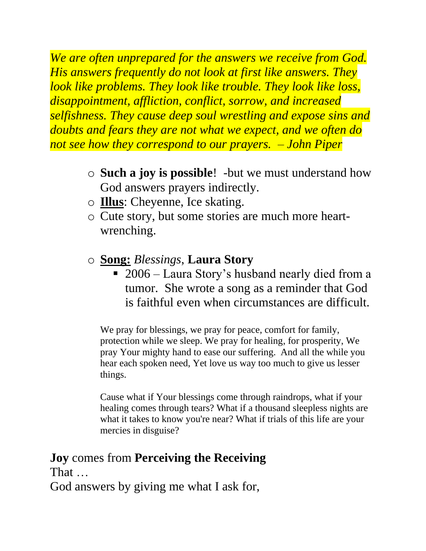*We are often unprepared for the answers we receive from God. His answers frequently do not look at first like answers. They look like problems. They look like trouble. They look like loss, disappointment, affliction, conflict, sorrow, and increased selfishness. They cause deep soul wrestling and expose sins and doubts and fears they are not what we expect, and we often do not see how they correspond to our prayers. – John Piper*

- o **Such a joy is possible**! -but we must understand how God answers prayers indirectly.
- o **Illus**: Cheyenne, Ice skating.
- o Cute story, but some stories are much more heartwrenching.
- o **Song:** *Blessings*, **Laura Story**
	- 2006 Laura Story's husband nearly died from a tumor. She wrote a song as a reminder that God is faithful even when circumstances are difficult.

We pray for blessings, we pray for peace, comfort for family, protection while we sleep. We pray for healing, for prosperity, We pray Your mighty hand to ease our suffering. And all the while you hear each spoken need, Yet love us way too much to give us lesser things.

Cause what if Your blessings come through raindrops, what if your healing comes through tears? What if a thousand sleepless nights are what it takes to know you're near? What if trials of this life are your mercies in disguise?

#### **Joy** comes from **Perceiving the Receiving**

That …

God answers by giving me what I ask for,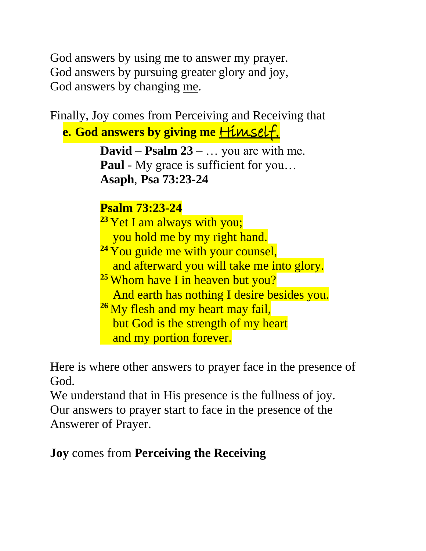God answers by using me to answer my prayer. God answers by pursuing greater glory and joy, God answers by changing me.

Finally, Joy comes from Perceiving and Receiving that

**e. God answers by giving me** Himself.

**David** – **Psalm 23** – … you are with me. **Paul** - My grace is sufficient for you... **Asaph**, **Psa 73:23-24**

**Psalm 73:23-24** <sup>23</sup> Yet I am always with you; you hold me by my right hand. <sup>24</sup> You guide me with your counsel, and afterward you will take me into glory. **<sup>25</sup>** Whom have I in heaven but you? And earth has nothing I desire besides you. <sup>26</sup> My flesh and my heart may fail, but God is the strength of my heart and my portion forever.

Here is where other answers to prayer face in the presence of God.

We understand that in His presence is the fullness of joy. Our answers to prayer start to face in the presence of the Answerer of Prayer.

**Joy** comes from **Perceiving the Receiving**